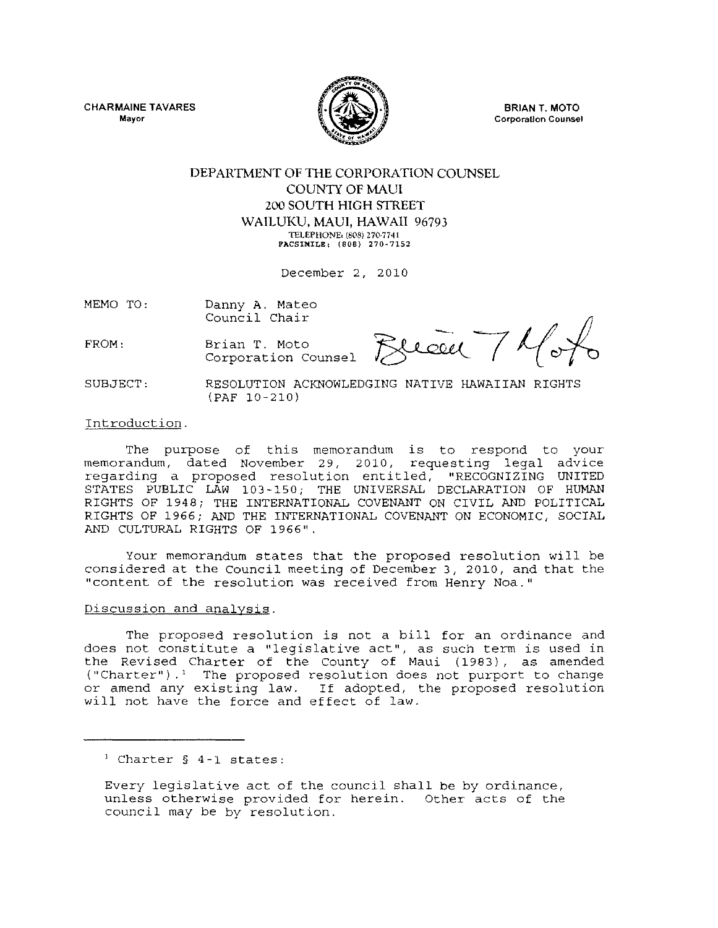CHARMAINE TAVARES **Mayor** 



BRIAN T. MOTO **Corporation Counsel** 

## DEPARTMENT OF THE CORPORATION COUNSEL COUNTY OF MAUl 200 SOUTH HIGH STREET WAILUKU, MAUl, HAWAII 96793 **TELEPHONEl** (808) **270·7741 PACSIKIL&I (808)** 270~7152

December 2, 2010

MEMO TO: Danny A. Mateo Council Chair

Brian T. Moto

Corporation Counsel

FROM:

Brece Thoto

SUBJECT: RESOLUTION ACKNOWLEDGING NATIVE HAWAIIAN RIGHTS (PAF 10-210)

Introduction.

The purpose of this memorandum is to respond to your memorandum, dated November 29, 2010, requesting legal advice regarding a proposed resolution entitled, "RECOGNIZING UNITED STATES PUBLIC LAW 103-150; THE UNIVERSAL DECLARATION OF HUMAN RIGHTS OF 1948; THE INTERNATIONAL COVENANT ON CIVIL AND POLITICAL RIGHTS OF 1966; AND THE INTERNATIONAL COVENANT ON ECONOMIC, SOCIAL AND CULTURAL RIGHTS OF 1966".

Your memorandum states that the proposed resolution will be considered at the council meeting of December 3, 2010, and that the "content of the resolution was received from Henry Noa."

## Discussion and analysis.

The proposed resolution is not a bill for an ordinance and does not constitute a "legislative act", as such term is used in the Revised Charter of the County of Maui (1983), as amended ("Charter").' The proposed resolution does not purport to change or amend any existing law. If adopted, the proposed resolution will not have the force and effect of law.

Every legislative act of the council shall be by ordinance, unless otherwise provided for herein. Other acts of the council may be by resolution.

<sup>1</sup> Charter § 4-1 states: